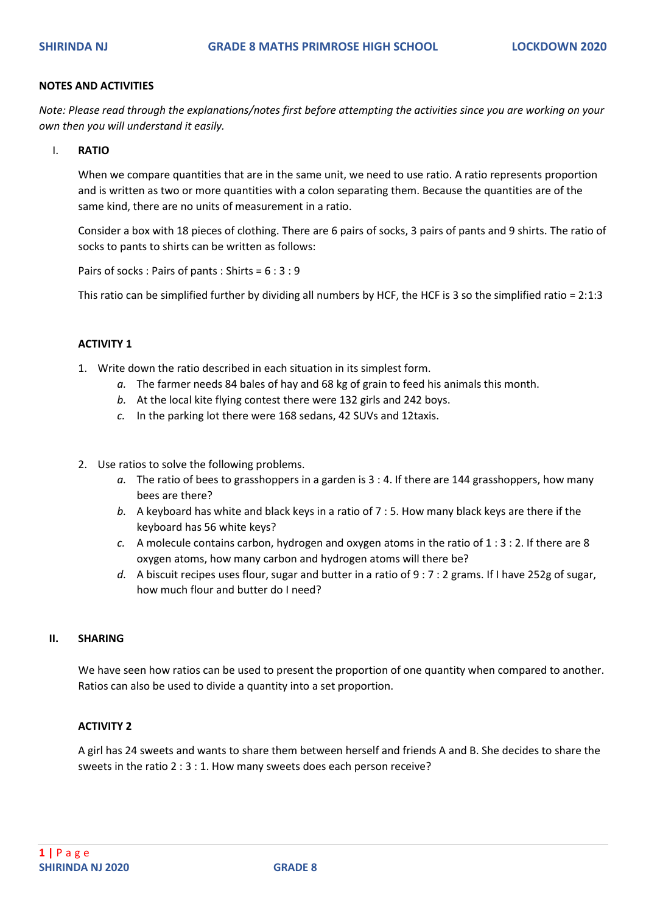#### **NOTES AND ACTIVITIES**

*Note: Please read through the explanations/notes first before attempting the activities since you are working on your own then you will understand it easily.*

I. **RATIO** 

When we compare quantities that are in the same unit, we need to use ratio. A ratio represents proportion and is written as two or more quantities with a colon separating them. Because the quantities are of the same kind, there are no units of measurement in a ratio.

Consider a box with 18 pieces of clothing. There are 6 pairs of socks, 3 pairs of pants and 9 shirts. The ratio of socks to pants to shirts can be written as follows:

Pairs of socks : Pairs of pants : Shirts = 6 : 3 : 9

This ratio can be simplified further by dividing all numbers by HCF, the HCF is 3 so the simplified ratio = 2:1:3

### **ACTIVITY 1**

- 1. Write down the ratio described in each situation in its simplest form.
	- *a.* The farmer needs 84 bales of hay and 68 kg of grain to feed his animals this month.
	- *b.* At the local kite flying contest there were 132 girls and 242 boys.
	- *c.* In the parking lot there were 168 sedans, 42 SUVs and 12taxis.
- 2. Use ratios to solve the following problems.
	- *a.* The ratio of bees to grasshoppers in a garden is 3 : 4. If there are 144 grasshoppers, how many bees are there?
	- *b.* A keyboard has white and black keys in a ratio of 7 : 5. How many black keys are there if the keyboard has 56 white keys?
	- *c.* A molecule contains carbon, hydrogen and oxygen atoms in the ratio of 1 : 3 : 2. If there are 8 oxygen atoms, how many carbon and hydrogen atoms will there be?
	- *d.* A biscuit recipes uses flour, sugar and butter in a ratio of 9 : 7 : 2 grams. If I have 252g of sugar, how much flour and butter do I need?

#### **II. SHARING**

We have seen how ratios can be used to present the proportion of one quantity when compared to another. Ratios can also be used to divide a quantity into a set proportion.

#### **ACTIVITY 2**

A girl has 24 sweets and wants to share them between herself and friends A and B. She decides to share the sweets in the ratio 2 : 3 : 1. How many sweets does each person receive?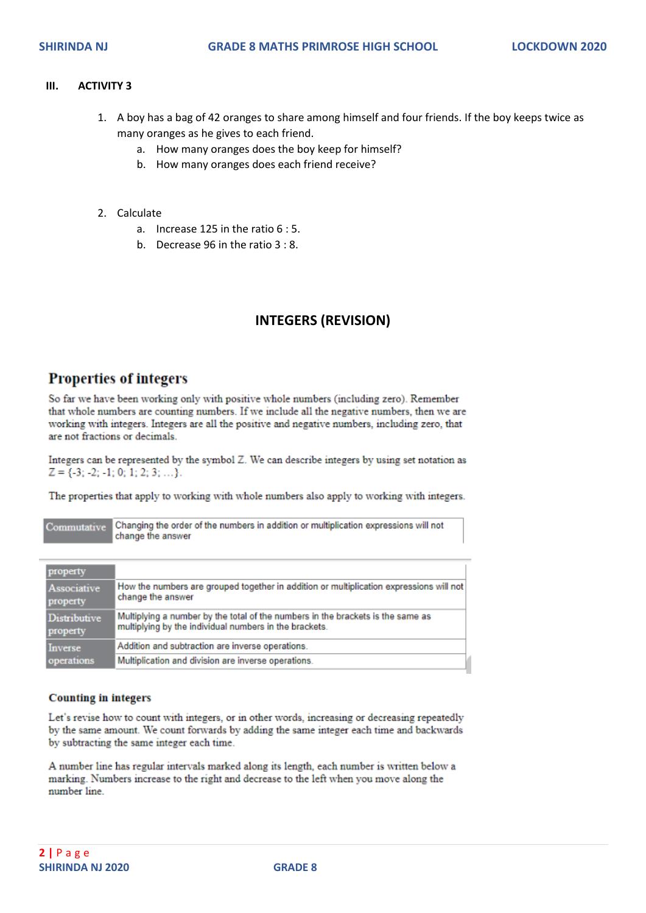#### **III. ACTIVITY 3**

- 1. A boy has a bag of 42 oranges to share among himself and four friends. If the boy keeps twice as many oranges as he gives to each friend.
	- a. How many oranges does the boy keep for himself?
	- b. How many oranges does each friend receive?
- 2. Calculate
	- a. Increase 125 in the ratio 6 : 5.
	- b. Decrease 96 in the ratio 3 : 8.

# **INTEGERS (REVISION)**

## **Properties of integers**

So far we have been working only with positive whole numbers (including zero). Remember that whole numbers are counting numbers. If we include all the negative numbers, then we are working with integers. Integers are all the positive and negative numbers, including zero, that are not fractions or decimals

Integers can be represented by the symbol  $Z$ . We can describe integers by using set notation as  $Z = \{-3; -2; -1; 0; 1; 2; 3; \ldots\}$ 

The properties that apply to working with whole numbers also apply to working with integers.

| Commutative                       | Changing the order of the numbers in addition or multiplication expressions will not<br>change the answer |
|-----------------------------------|-----------------------------------------------------------------------------------------------------------|
| property                          | How the numbers are grouped together in addition or multiplication expressions will not                   |
| Associative                       | change the answer                                                                                         |
| property                          | Multiplying a number by the total of the numbers in the brackets is the same as                           |
| Distributive                      | multiplying by the individual numbers in the brackets.                                                    |
| property<br>Inverse<br>operations | Addition and subtraction are inverse operations.<br>Multiplication and division are inverse operations.   |

#### **Counting in integers**

Let's revise how to count with integers, or in other words, increasing or decreasing repeatedly by the same amount. We count forwards by adding the same integer each time and backwards by subtracting the same integer each time.

A number line has regular intervals marked along its length, each number is written below a marking. Numbers increase to the right and decrease to the left when you move along the number line.

r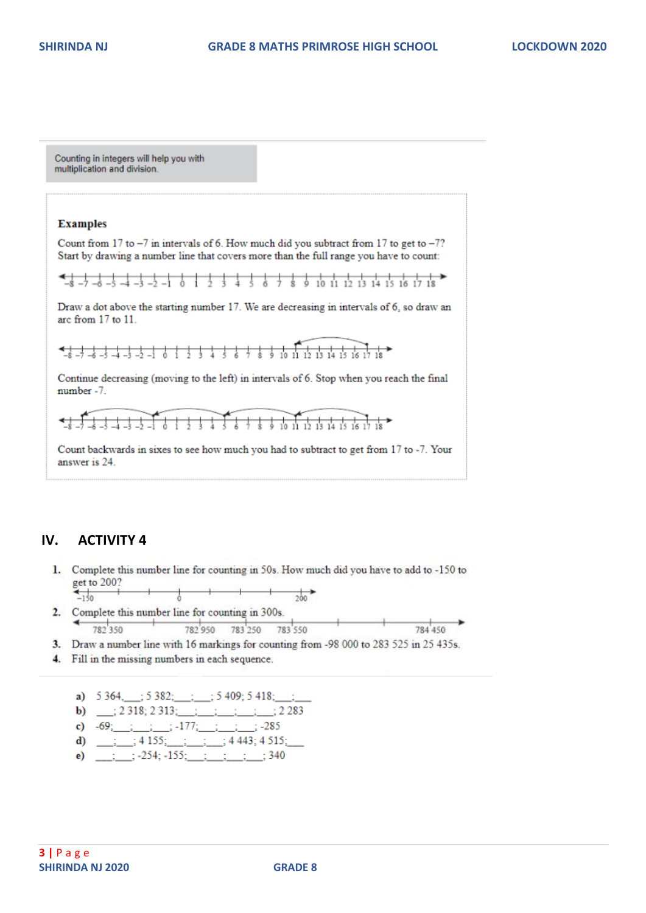

## **IV. ACTIVITY 4**

- 1. Complete this number line for counting in 50s. How much did you have to add to -150 to get to 200?
- $\overrightarrow{ab}$  $-150$ 2. Complete this number line for counting in 300s.
- $+$  $782350$ 782 950 783 250 783 550 784,450
- 3. Draw a number line with 16 markings for counting from -98 000 to 283 525 in 25 435s.
- 4. Fill in the missing numbers in each sequence.

a)  $5\,364, \quad ; 5\,382; \quad ; 5\,409; 5\,418; \quad ;$ **b)**  $\frac{1}{2}$  (2 318; 2 313;  $\frac{1}{2}$   $\frac{1}{2}$   $\frac{1}{2}$   $\frac{1}{2}$  2 283 c)  $-69$ ; ; ; ;  $-177$ ; ; ; ; ; 285 d)  $\frac{1}{2}$  ; 4 155;  $\frac{1}{2}$  ; 4 443; 4 515; e)  $\frac{1}{2}$  :  $\frac{1}{254}$ ;  $\frac{155}{251}$  :  $\frac{1}{251}$  :  $\frac{1}{251}$  : 340